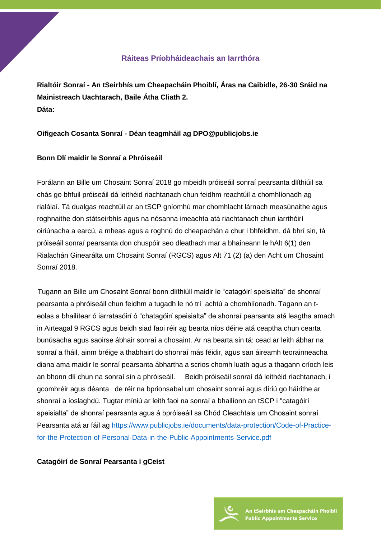### **Ráiteas Príobháideachais an Iarrthóra**

**Rialtóir Sonraí - An tSeirbhís um Cheapacháin Phoiblí, Áras na Caibidle, 26-30 Sráid na Mainistreach Uachtarach, Baile Átha Cliath 2. Dáta:** 

### **Oifigeach Cosanta Sonraí - Déan teagmháil ag DPO@publicjobs.ie**

### **Bonn Dlí maidir le Sonraí a Phróiseáil**

Forálann an Bille um Chosaint Sonraí 2018 go mbeidh próiseáil sonraí pearsanta dlíthiúil sa chás go bhfuil próiseáil dá leithéid riachtanach chun feidhm reachtúil a chomhlíonadh ag rialálaí. Tá dualgas reachtúil ar an tSCP gníomhú mar chomhlacht lárnach measúnaithe agus roghnaithe don státseirbhís agus na nósanna imeachta atá riachtanach chun iarrthóirí oiriúnacha a earcú, a mheas agus a roghnú do cheapachán a chur i bhfeidhm, dá bhrí sin, tá próiseáil sonraí pearsanta don chuspóir seo dleathach mar a bhaineann le hAlt 6(1) den Rialachán Ginearálta um Chosaint Sonraí (RGCS) agus Alt 71 (2) (a) den Acht um Chosaint Sonraí 2018.

 Tugann an Bille um Chosaint Sonraí bonn dlíthiúil maidir le "catagóirí speisialta" de shonraí pearsanta a phróiseáil chun feidhm a tugadh le nó trí achtú a chomhlíonadh. Tagann an teolas a bhailítear ó iarratasóirí ó "chatagóirí speisialta" de shonraí pearsanta atá leagtha amach in Airteagal 9 RGCS agus beidh siad faoi réir ag bearta níos déine atá ceaptha chun cearta bunúsacha agus saoirse ábhair sonraí a chosaint. Ar na bearta sin tá: cead ar leith ábhar na sonraí a fháil, ainm bréige a thabhairt do shonraí más féidir, agus san áireamh teorainneacha diana ama maidir le sonraí pearsanta ábhartha a scrios chomh luath agus a thagann críoch leis an bhonn dlí chun na sonraí sin a phróiseáil. Beidh próiseáil sonraí dá leithéid riachtanach, i gcomhréir agus déanta de réir na bprionsabal um chosaint sonraí agus díriú go háirithe ar shonraí a íoslaghdú. Tugtar míniú ar leith faoi na sonraí a bhailíonn an tSCP i "catagóirí speisialta" de shonraí pearsanta agus á bpróiseáil sa Chód Cleachtais um Chosaint sonraí Pearsanta atá ar fáil ag [https://www.publicjobs.ie/documents/data-protection/Code-of-Practice](https://www.publicjobs.ie/documents/data-protection/Code-of-Practice-for-the-Protection-of-Personal-Data-in-the-Public-Appointments-Service.pdf)[for-the-Protection-of-Personal-Data-in-the-Public-Appointments-Service.pdf](https://www.publicjobs.ie/documents/data-protection/Code-of-Practice-for-the-Protection-of-Personal-Data-in-the-Public-Appointments-Service.pdf)

#### **Catagóirí de Sonraí Pearsanta i gCeist**

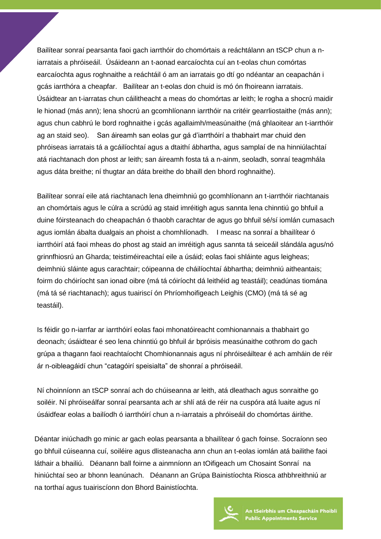Bailítear sonraí pearsanta faoi gach iarrthóir do chomórtais a reáchtálann an tSCP chun a niarratais a phróiseáil. Úsáideann an t-aonad earcaíochta cuí an t-eolas chun comórtas earcaíochta agus roghnaithe a reáchtáil ó am an iarratais go dtí go ndéantar an ceapachán i gcás iarrthóra a cheapfar. Bailítear an t-eolas don chuid is mó ón fhoireann iarratais. Úsáidtear an t-iarratas chun cáilitheacht a meas do chomórtas ar leith; le rogha a shocrú maidir le hionad (más ann); lena shocrú an gcomhlíonann iarrthóir na critéir gearrliostaithe (más ann); agus chun cabhrú le bord roghnaithe i gcás agallaimh/measúnaithe (má ghlaoitear an t-iarrthóir ag an staid seo). San áireamh san eolas gur gá d'iarrthóirí a thabhairt mar chuid den phróiseas iarratais tá a gcáilíochtaí agus a dtaithí ábhartha, agus samplaí de na hinniúlachtaí atá riachtanach don phost ar leith; san áireamh fosta tá a n-ainm, seoladh, sonraí teagmhála agus dáta breithe; ní thugtar an dáta breithe do bhaill den bhord roghnaithe).

Bailítear sonraí eile atá riachtanach lena dheimhniú go gcomhlíonann an t-iarrthóir riachtanais an chomórtais agus le cúlra a scrúdú ag staid imréitigh agus sannta lena chinntiú go bhfuil a duine fóirsteanach do cheapachán ó thaobh carachtar de agus go bhfuil sé/sí iomlán cumasach agus iomlán ábalta dualgais an phoist a chomhlíonadh. I measc na sonraí a bhailítear ó iarrthóirí atá faoi mheas do phost ag staid an imréitigh agus sannta tá seiceáil slándála agus/nó grinnfhiosrú an Gharda; teistiméireachtaí eile a úsáid; eolas faoi shláinte agus leigheas; deimhniú sláinte agus carachtair; cóipeanna de cháilíochtaí ábhartha; deimhniú aitheantais; foirm do chóiríocht san ionad oibre (má tá cóiríocht dá leithéid ag teastáil); ceadúnas tiomána (má tá sé riachtanach); agus tuairiscí ón Phríomhoifigeach Leighis (CMO) (má tá sé ag teastáil).

Is féidir go n-iarrfar ar iarrthóirí eolas faoi mhonatóireacht comhionannais a thabhairt go deonach; úsáidtear é seo lena chinntiú go bhfuil ár bpróisis measúnaithe cothrom do gach grúpa a thagann faoi reachtaíocht Chomhionannais agus ní phróiseáiltear é ach amháin de réir ár n-oibleagáidí chun "catagóirí speisialta" de shonraí a phróiseáil.

Ní choinníonn an tSCP sonraí ach do chúiseanna ar leith, atá dleathach agus sonraithe go soiléir. Ní phróiseálfar sonraí pearsanta ach ar shlí atá de réir na cuspóra atá luaite agus ní úsáidfear eolas a bailíodh ó iarrthóirí chun a n-iarratais a phróiseáil do chomórtas áirithe.

Déantar iniúchadh go minic ar gach eolas pearsanta a bhailítear ó gach foinse. Socraíonn seo go bhfuil cúiseanna cuí, soiléire agus dlisteanacha ann chun an t-eolas iomlán atá bailithe faoi láthair a bhailiú. Déanann ball foirne a ainmníonn an tOifigeach um Chosaint Sonraí na hiniúchtaí seo ar bhonn leanúnach. Déanann an Grúpa Bainistíochta Riosca athbhreithniú ar na torthaí agus tuairiscíonn don Bhord Bainistíochta.



An tSeirbhís um Cheapacháin Phoiblí **Public Appointments Service**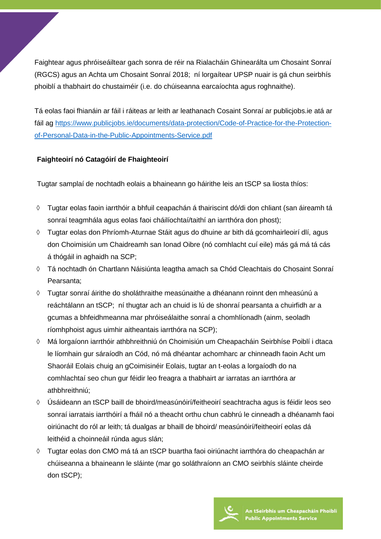Faightear agus phróiseáiltear gach sonra de réir na Rialacháin Ghinearálta um Chosaint Sonraí (RGCS) agus an Achta um Chosaint Sonraí 2018; ní lorgaítear UPSP nuair is gá chun seirbhís phoiblí a thabhairt do chustaiméir (i.e. do chúiseanna earcaíochta agus roghnaithe).

Tá eolas faoi fhianáin ar fáil i ráiteas ar leith ar leathanach Cosaint Sonraí ar publicjobs.ie atá ar fáil ag [https://www.publicjobs.ie/documents/data-protection/Code-of-Practice-for-the-Protection](https://www.publicjobs.ie/documents/data-protection/Code-of-Practice-for-the-Protection-of-Personal-Data-in-the-Public-Appointments-Service.pdf)[of-Personal-Data-in-the-Public-Appointments-Service.pdf](https://www.publicjobs.ie/documents/data-protection/Code-of-Practice-for-the-Protection-of-Personal-Data-in-the-Public-Appointments-Service.pdf)

## **Faighteoirí nó Catagóirí de Fhaighteoirí**

Tugtar samplaí de nochtadh eolais a bhaineann go háirithe leis an tSCP sa liosta thíos:

- ◊ Tugtar eolas faoin iarrthóir a bhfuil ceapachán á thairiscint dó/di don chliant (san áireamh tá sonraí teagmhála agus eolas faoi cháilíochtaí/taithí an iarrthóra don phost);
- ◊ Tugtar eolas don Phríomh-Aturnae Stáit agus do dhuine ar bith dá gcomhairleoirí dlí, agus don Choimisiún um Chaidreamh san Ionad Oibre (nó comhlacht cuí eile) más gá má tá cás á thógáil in aghaidh na SCP;
- ◊ Tá nochtadh ón Chartlann Náisiúnta leagtha amach sa Chód Cleachtais do Chosaint Sonraí Pearsanta;
- ◊ Tugtar sonraí áirithe do sholáthraithe measúnaithe a dhéanann roinnt den mheasúnú a reáchtálann an tSCP; ní thugtar ach an chuid is lú de shonraí pearsanta a chuirfidh ar a gcumas a bhfeidhmeanna mar phróiseálaithe sonraí a chomhlíonadh (ainm, seoladh ríomhphoist agus uimhir aitheantais iarrthóra na SCP);
- ◊ Má lorgaíonn iarrthóir athbhreithniú ón Choimisiún um Cheapacháin Seirbhíse Poiblí i dtaca le líomhain gur sáraíodh an Cód, nó má dhéantar achomharc ar chinneadh faoin Acht um Shaoráil Eolais chuig an gCoimisinéir Eolais, tugtar an t-eolas a lorgaíodh do na comhlachtaí seo chun gur féidir leo freagra a thabhairt ar iarratas an iarrthóra ar athbhreithniú;
- ◊ Úsáideann an tSCP baill de bhoird/measúnóirí/feitheoirí seachtracha agus is féidir leos seo sonraí iarratais iarrthóirí a fháil nó a theacht orthu chun cabhrú le cinneadh a dhéanamh faoi oiriúnacht do ról ar leith; tá dualgas ar bhaill de bhoird/ measúnóirí/feitheoirí eolas dá leithéid a choinneáil rúnda agus slán;
- ◊ Tugtar eolas don CMO má tá an tSCP buartha faoi oiriúnacht iarrthóra do cheapachán ar chúiseanna a bhaineann le sláinte (mar go soláthraíonn an CMO seirbhís sláinte cheirde don tSCP);

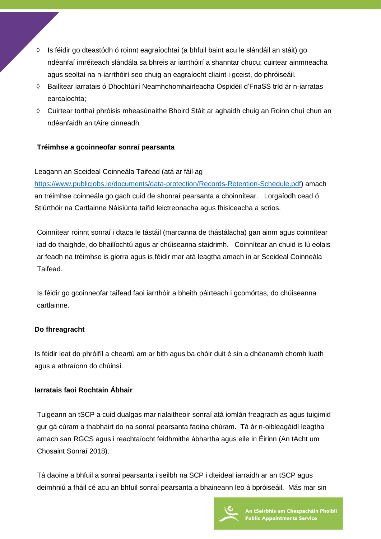- ◊ Is féidir go dteastódh ó roinnt eagraíochtaí (a bhfuil baint acu le slándáil an stáit) go ndéanfaí imréiteach slándála sa bhreis ar iarrthóirí a shanntar chucu; cuirtear ainmneacha agus seoltaí na n-iarrthóirí seo chuig an eagraíocht cliaint i gceist, do phróiseáil.
- ◊ Bailítear iarratais ó Dhochtúirí Neamhchomhairleacha Ospidéil d'FnaSS tríd ár n-iarratas earcaíochta;
- ◊ Cuirtear torthaí phróisis mheasúnaithe Bhoird Stáit ar aghaidh chuig an Roinn chuí chun an ndéanfaidh an tAire cinneadh.

# **Tréimhse a gcoinneofar sonraí pearsanta**

# Leagann an Sceideal Coinneála Taifead (atá ar fáil ag

[https://www.publicjobs.ie/documents/data-protection/Records-Retention-Schedule.pdf\)](https://www.publicjobs.ie/documents/data-protection/Records-Retention-Schedule.pdf) amach an tréimhse coinneála go gach cuid de shonraí pearsanta a choinnítear. Lorgaíodh cead ó Stiúrthóir na Cartlainne Náisiúnta taifid leictreonacha agus fhisiceacha a scrios.

Coinnítear roinnt sonraí i dtaca le tástáil (marcanna de thástálacha) gan ainm agus coinnítear iad do thaighde, do bhailíochtú agus ar chúiseanna staidrimh. Coinnítear an chuid is lú eolais ar feadh na tréimhse is giorra agus is féidir mar atá leagtha amach in ar Sceideal Coinneála Taifead.

Is féidir go gcoinneofar taifead faoi iarrthóir a bheith páirteach i gcomórtas, do chúiseanna cartlainne.

## **Do fhreagracht**

Is féidir leat do phróifíl a cheartú am ar bith agus ba chóir duit é sin a dhéanamh chomh luath agus a athraíonn do chúinsí.

# **Iarratais faoi Rochtain Ábhair**

Tuigeann an tSCP a cuid dualgas mar rialaitheoir sonraí atá iomlán freagrach as agus tuigimid gur gá cúram a thabhairt do na sonraí pearsanta faoina chúram. Tá ár n-oibleagáidí leagtha amach san RGCS agus i reachtaíocht feidhmithe ábhartha agus eile in Éirinn (An tAcht um Chosaint Sonraí 2018).

Tá daoine a bhfuil a sonraí pearsanta i seilbh na SCP i dteideal iarraidh ar an tSCP agus deimhniú a fháil cé acu an bhfuil sonraí pearsanta a bhaineann leo á bpróiseáil. Más mar sin